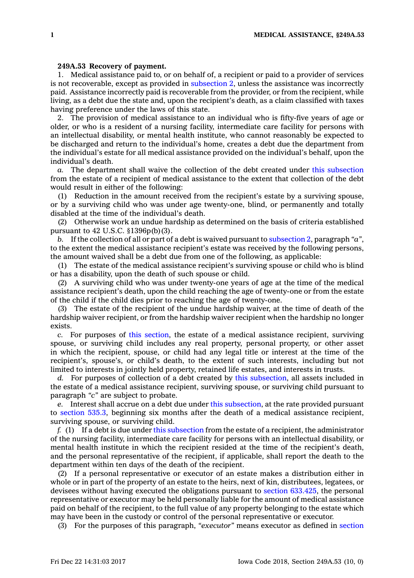## **249A.53 Recovery of payment.**

1. Medical assistance paid to, or on behalf of, <sup>a</sup> recipient or paid to <sup>a</sup> provider of services is not recoverable, except as provided in [subsection](https://www.legis.iowa.gov/docs/code/249A.53.pdf) 2, unless the assistance was incorrectly paid. Assistance incorrectly paid is recoverable from the provider, or from the recipient, while living, as <sup>a</sup> debt due the state and, upon the recipient's death, as <sup>a</sup> claim classified with taxes having preference under the laws of this state.

2. The provision of medical assistance to an individual who is fifty-five years of age or older, or who is <sup>a</sup> resident of <sup>a</sup> nursing facility, intermediate care facility for persons with an intellectual disability, or mental health institute, who cannot reasonably be expected to be discharged and return to the individual's home, creates <sup>a</sup> debt due the department from the individual's estate for all medical assistance provided on the individual's behalf, upon the individual's death.

*a.* The department shall waive the collection of the debt created under this [subsection](https://www.legis.iowa.gov/docs/code/249A.53.pdf) from the estate of <sup>a</sup> recipient of medical assistance to the extent that collection of the debt would result in either of the following:

(1) Reduction in the amount received from the recipient's estate by <sup>a</sup> surviving spouse, or by <sup>a</sup> surviving child who was under age twenty-one, blind, or permanently and totally disabled at the time of the individual's death.

(2) Otherwise work an undue hardship as determined on the basis of criteria established pursuant to 42 U.S.C. §1396p(b)(3).

*b.* If the collection of all or part of <sup>a</sup> debt is waived pursuant to [subsection](https://www.legis.iowa.gov/docs/code/249A.53.pdf) 2, paragraph *"a"*, to the extent the medical assistance recipient's estate was received by the following persons, the amount waived shall be <sup>a</sup> debt due from one of the following, as applicable:

(1) The estate of the medical assistance recipient's surviving spouse or child who is blind or has <sup>a</sup> disability, upon the death of such spouse or child.

(2) A surviving child who was under twenty-one years of age at the time of the medical assistance recipient's death, upon the child reaching the age of twenty-one or from the estate of the child if the child dies prior to reaching the age of twenty-one.

(3) The estate of the recipient of the undue hardship waiver, at the time of death of the hardship waiver recipient, or from the hardship waiver recipient when the hardship no longer exists.

*c.* For purposes of this [section](https://www.legis.iowa.gov/docs/code/249A.53.pdf), the estate of <sup>a</sup> medical assistance recipient, surviving spouse, or surviving child includes any real property, personal property, or other asset in which the recipient, spouse, or child had any legal title or interest at the time of the recipient's, spouse's, or child's death, to the extent of such interests, including but not limited to interests in jointly held property, retained life estates, and interests in trusts.

*d.* For purposes of collection of <sup>a</sup> debt created by this [subsection](https://www.legis.iowa.gov/docs/code/249A.53.pdf), all assets included in the estate of <sup>a</sup> medical assistance recipient, surviving spouse, or surviving child pursuant to paragraph *"c"* are subject to probate.

*e.* Interest shall accrue on <sup>a</sup> debt due under this [subsection](https://www.legis.iowa.gov/docs/code/249A.53.pdf), at the rate provided pursuant to [section](https://www.legis.iowa.gov/docs/code/535.3.pdf) 535.3, beginning six months after the death of <sup>a</sup> medical assistance recipient, surviving spouse, or surviving child.

*f.* (1) If <sup>a</sup> debt is due under this [subsection](https://www.legis.iowa.gov/docs/code/249A.53.pdf) from the estate of <sup>a</sup> recipient, the administrator of the nursing facility, intermediate care facility for persons with an intellectual disability, or mental health institute in which the recipient resided at the time of the recipient's death, and the personal representative of the recipient, if applicable, shall report the death to the department within ten days of the death of the recipient.

(2) If <sup>a</sup> personal representative or executor of an estate makes <sup>a</sup> distribution either in whole or in part of the property of an estate to the heirs, next of kin, distributees, legatees, or devisees without having executed the obligations pursuant to section [633.425](https://www.legis.iowa.gov/docs/code/633.425.pdf), the personal representative or executor may be held personally liable for the amount of medical assistance paid on behalf of the recipient, to the full value of any property belonging to the estate which may have been in the custody or control of the personal representative or executor.

(3) For the purposes of this paragraph, *"executor"* means executor as defined in [section](https://www.legis.iowa.gov/docs/code/633.3.pdf)